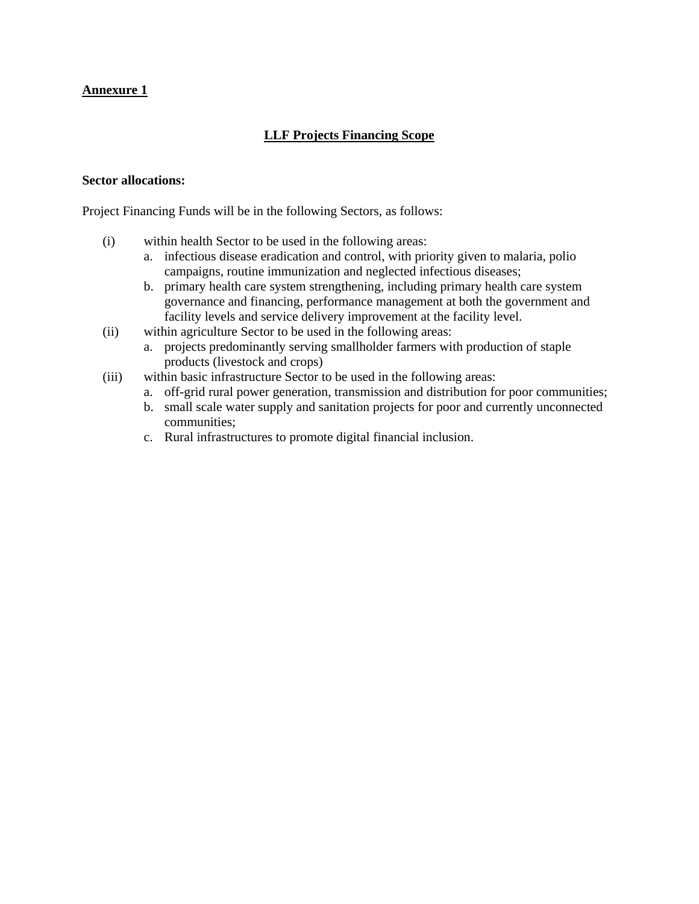## **Annexure 1**

## **LLF Projects Financing Scope**

## **Sector allocations:**

Project Financing Funds will be in the following Sectors, as follows:

- (i) within health Sector to be used in the following areas:
	- a. infectious disease eradication and control, with priority given to malaria, polio campaigns, routine immunization and neglected infectious diseases;
	- b. primary health care system strengthening, including primary health care system governance and financing, performance management at both the government and facility levels and service delivery improvement at the facility level.
- (ii) within agriculture Sector to be used in the following areas:
	- a. projects predominantly serving smallholder farmers with production of staple products (livestock and crops)
- (iii) within basic infrastructure Sector to be used in the following areas:
	- a. off-grid rural power generation, transmission and distribution for poor communities;
	- b. small scale water supply and sanitation projects for poor and currently unconnected communities;
	- c. Rural infrastructures to promote digital financial inclusion.